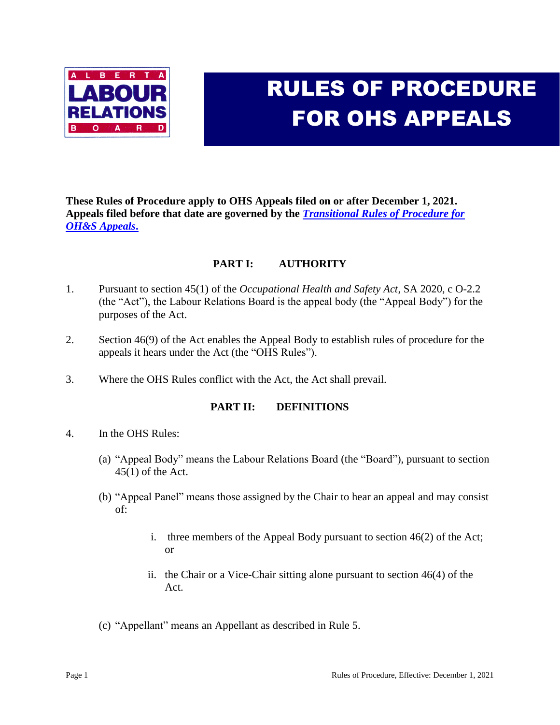

# RULES OF PROCEDURE FOR OHS APPEALS

**These Rules of Procedure apply to OHS Appeals filed on or after December 1, 2021. Appeals filed before that date are governed by the** *[Transitional Rules of Procedure for](http://www.alrb.gov.ab.ca/ohs/bulletins/ohs_rulesofprocedureOct2019.pdf)  [OH&S Appeals](http://www.alrb.gov.ab.ca/ohs/bulletins/ohs_rulesofprocedureOct2019.pdf)***.**

# **PART I: AUTHORITY**

- 1. Pursuant to section 45(1) of the *Occupational Health and Safety Act*, SA 2020, c O-2.2 (the "Act"), the Labour Relations Board is the appeal body (the "Appeal Body") for the purposes of the Act.
- 2. Section 46(9) of the Act enables the Appeal Body to establish rules of procedure for the appeals it hears under the Act (the "OHS Rules").
- 3. Where the OHS Rules conflict with the Act, the Act shall prevail.

## **PART II: DEFINITIONS**

- 4. In the OHS Rules:
	- (a) "Appeal Body" means the Labour Relations Board (the "Board"), pursuant to section 45(1) of the Act.
	- (b) "Appeal Panel" means those assigned by the Chair to hear an appeal and may consist of:
		- i. three members of the Appeal Body pursuant to section 46(2) of the Act; or
		- ii. the Chair or a Vice-Chair sitting alone pursuant to section 46(4) of the Act.
	- (c) "Appellant" means an Appellant as described in Rule 5.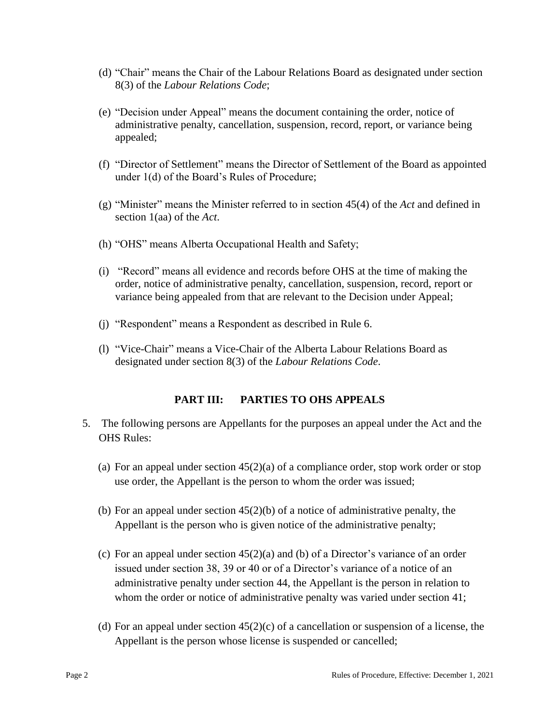- (d) "Chair" means the Chair of the Labour Relations Board as designated under section 8(3) of the *Labour Relations Code*;
- (e) "Decision under Appeal" means the document containing the order, notice of administrative penalty, cancellation, suspension, record, report, or variance being appealed;
- (f) "Director of Settlement" means the Director of Settlement of the Board as appointed under 1(d) of the Board's Rules of Procedure;
- (g) "Minister" means the Minister referred to in section 45(4) of the *Act* and defined in section 1(aa) of the *Act*.
- (h) "OHS" means Alberta Occupational Health and Safety;
- (i) "Record" means all evidence and records before OHS at the time of making the order, notice of administrative penalty, cancellation, suspension, record, report or variance being appealed from that are relevant to the Decision under Appeal;
- (j) "Respondent" means a Respondent as described in Rule 6.
- (l) "Vice-Chair" means a Vice-Chair of the Alberta Labour Relations Board as designated under section 8(3) of the *Labour Relations Code*.

#### **PART III: PARTIES TO OHS APPEALS**

- 5. The following persons are Appellants for the purposes an appeal under the Act and the OHS Rules:
	- (a) For an appeal under section  $45(2)(a)$  of a compliance order, stop work order or stop use order, the Appellant is the person to whom the order was issued;
	- (b) For an appeal under section 45(2)(b) of a notice of administrative penalty, the Appellant is the person who is given notice of the administrative penalty;
	- (c) For an appeal under section 45(2)(a) and (b) of a Director's variance of an order issued under section 38, 39 or 40 or of a Director's variance of a notice of an administrative penalty under section 44, the Appellant is the person in relation to whom the order or notice of administrative penalty was varied under section 41;
	- (d) For an appeal under section  $45(2)(c)$  of a cancellation or suspension of a license, the Appellant is the person whose license is suspended or cancelled;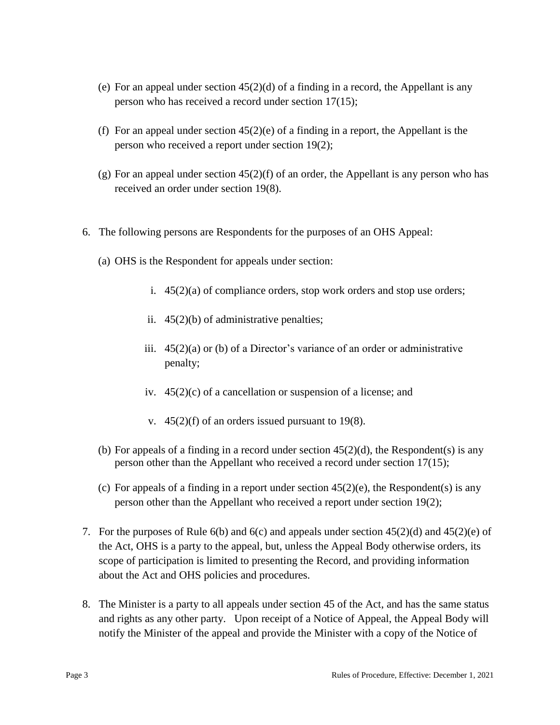- (e) For an appeal under section  $45(2)(d)$  of a finding in a record, the Appellant is any person who has received a record under section 17(15);
- (f) For an appeal under section 45(2)(e) of a finding in a report, the Appellant is the person who received a report under section 19(2);
- (g) For an appeal under section  $45(2)(f)$  of an order, the Appellant is any person who has received an order under section 19(8).
- 6. The following persons are Respondents for the purposes of an OHS Appeal:
	- (a) OHS is the Respondent for appeals under section:
		- i.  $45(2)(a)$  of compliance orders, stop work orders and stop use orders;
		- ii. 45(2)(b) of administrative penalties;
		- iii. 45(2)(a) or (b) of a Director's variance of an order or administrative penalty;
		- iv. 45(2)(c) of a cancellation or suspension of a license; and
		- v. 45(2)(f) of an orders issued pursuant to 19(8).
	- (b) For appeals of a finding in a record under section  $45(2)(d)$ , the Respondent(s) is any person other than the Appellant who received a record under section 17(15);
	- (c) For appeals of a finding in a report under section  $45(2)(e)$ , the Respondent(s) is any person other than the Appellant who received a report under section 19(2);
- 7. For the purposes of Rule 6(b) and 6(c) and appeals under section  $45(2)(d)$  and  $45(2)(e)$  of the Act, OHS is a party to the appeal, but, unless the Appeal Body otherwise orders, its scope of participation is limited to presenting the Record, and providing information about the Act and OHS policies and procedures.
- 8. The Minister is a party to all appeals under section 45 of the Act, and has the same status and rights as any other party. Upon receipt of a Notice of Appeal, the Appeal Body will notify the Minister of the appeal and provide the Minister with a copy of the Notice of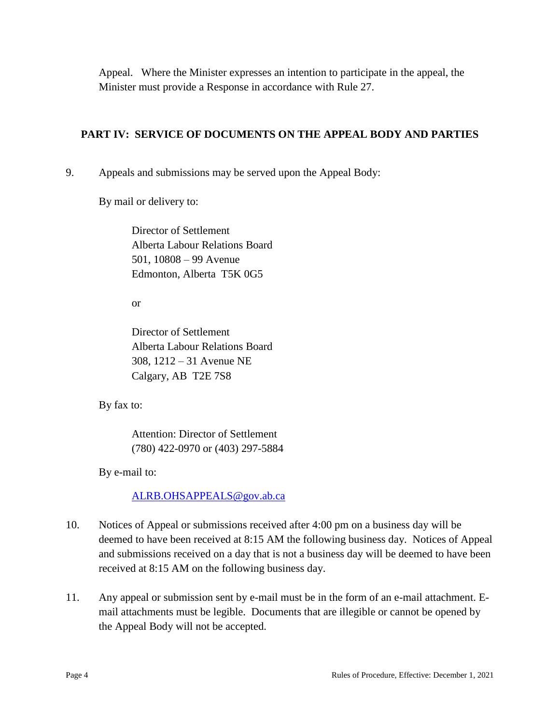Appeal. Where the Minister expresses an intention to participate in the appeal, the Minister must provide a Response in accordance with Rule 27.

## **PART IV: SERVICE OF DOCUMENTS ON THE APPEAL BODY AND PARTIES**

9. Appeals and submissions may be served upon the Appeal Body:

By mail or delivery to:

Director of Settlement Alberta Labour Relations Board 501, 10808 – 99 Avenue Edmonton, Alberta T5K 0G5

or

Director of Settlement Alberta Labour Relations Board 308, 1212 – 31 Avenue NE Calgary, AB T2E 7S8

By fax to:

Attention: Director of Settlement (780) 422-0970 or (403) 297-5884

By e-mail to:

[ALRB.OHSAPPEALS@gov.ab.ca](mailto:ALRB.OHSAPPEALS@gov.ab.ca)

- 10. Notices of Appeal or submissions received after 4:00 pm on a business day will be deemed to have been received at 8:15 AM the following business day. Notices of Appeal and submissions received on a day that is not a business day will be deemed to have been received at 8:15 AM on the following business day.
- 11. Any appeal or submission sent by e-mail must be in the form of an e-mail attachment. Email attachments must be legible. Documents that are illegible or cannot be opened by the Appeal Body will not be accepted.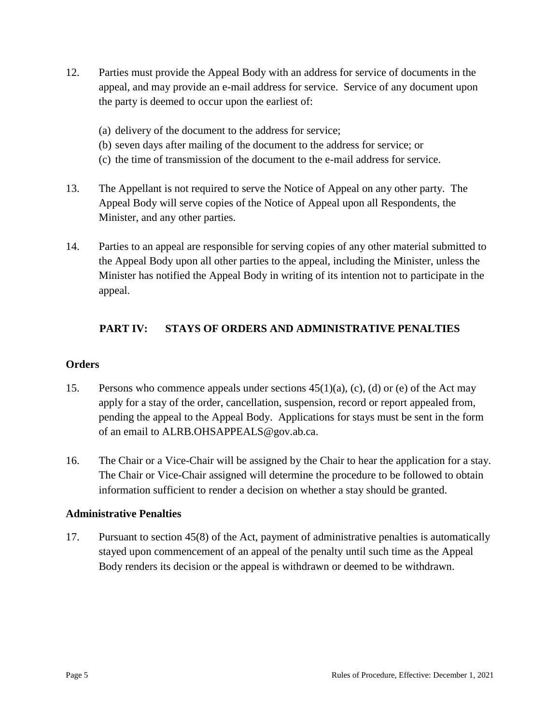- 12. Parties must provide the Appeal Body with an address for service of documents in the appeal, and may provide an e-mail address for service. Service of any document upon the party is deemed to occur upon the earliest of:
	- (a) delivery of the document to the address for service;
	- (b) seven days after mailing of the document to the address for service; or
	- (c) the time of transmission of the document to the e-mail address for service.
- 13. The Appellant is not required to serve the Notice of Appeal on any other party. The Appeal Body will serve copies of the Notice of Appeal upon all Respondents, the Minister, and any other parties.
- 14. Parties to an appeal are responsible for serving copies of any other material submitted to the Appeal Body upon all other parties to the appeal, including the Minister, unless the Minister has notified the Appeal Body in writing of its intention not to participate in the appeal.

## **PART IV: STAYS OF ORDERS AND ADMINISTRATIVE PENALTIES**

#### **Orders**

- 15. Persons who commence appeals under sections 45(1)(a), (c), (d) or (e) of the Act may apply for a stay of the order, cancellation, suspension, record or report appealed from, pending the appeal to the Appeal Body. Applications for stays must be sent in the form of an email to ALRB.OHSAPPEALS@gov.ab.ca.
- 16. The Chair or a Vice-Chair will be assigned by the Chair to hear the application for a stay. The Chair or Vice-Chair assigned will determine the procedure to be followed to obtain information sufficient to render a decision on whether a stay should be granted.

#### **Administrative Penalties**

17. Pursuant to section 45(8) of the Act, payment of administrative penalties is automatically stayed upon commencement of an appeal of the penalty until such time as the Appeal Body renders its decision or the appeal is withdrawn or deemed to be withdrawn.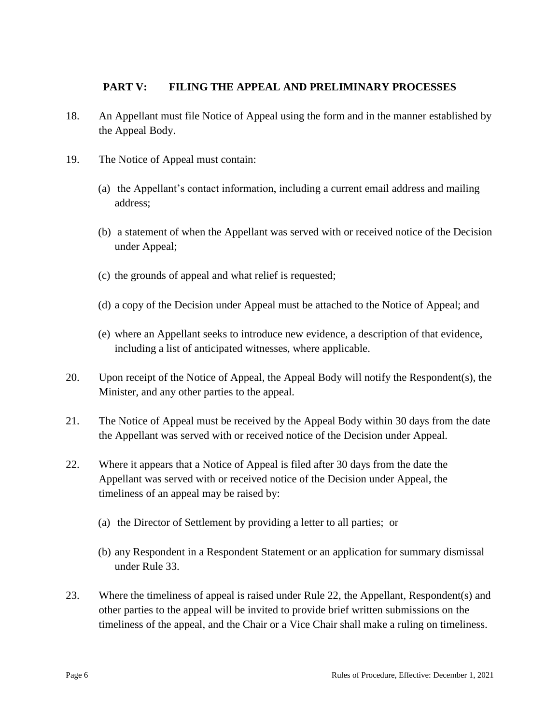### **PART V: FILING THE APPEAL AND PRELIMINARY PROCESSES**

- 18. An Appellant must file Notice of Appeal using the form and in the manner established by the Appeal Body.
- 19. The Notice of Appeal must contain:
	- (a) the Appellant's contact information, including a current email address and mailing address;
	- (b) a statement of when the Appellant was served with or received notice of the Decision under Appeal;
	- (c) the grounds of appeal and what relief is requested;
	- (d) a copy of the Decision under Appeal must be attached to the Notice of Appeal; and
	- (e) where an Appellant seeks to introduce new evidence, a description of that evidence, including a list of anticipated witnesses, where applicable.
- 20. Upon receipt of the Notice of Appeal, the Appeal Body will notify the Respondent(s), the Minister, and any other parties to the appeal.
- 21. The Notice of Appeal must be received by the Appeal Body within 30 days from the date the Appellant was served with or received notice of the Decision under Appeal.
- 22. Where it appears that a Notice of Appeal is filed after 30 days from the date the Appellant was served with or received notice of the Decision under Appeal, the timeliness of an appeal may be raised by:
	- (a) the Director of Settlement by providing a letter to all parties; or
	- (b) any Respondent in a Respondent Statement or an application for summary dismissal under Rule 33.
- 23. Where the timeliness of appeal is raised under Rule 22, the Appellant, Respondent(s) and other parties to the appeal will be invited to provide brief written submissions on the timeliness of the appeal, and the Chair or a Vice Chair shall make a ruling on timeliness.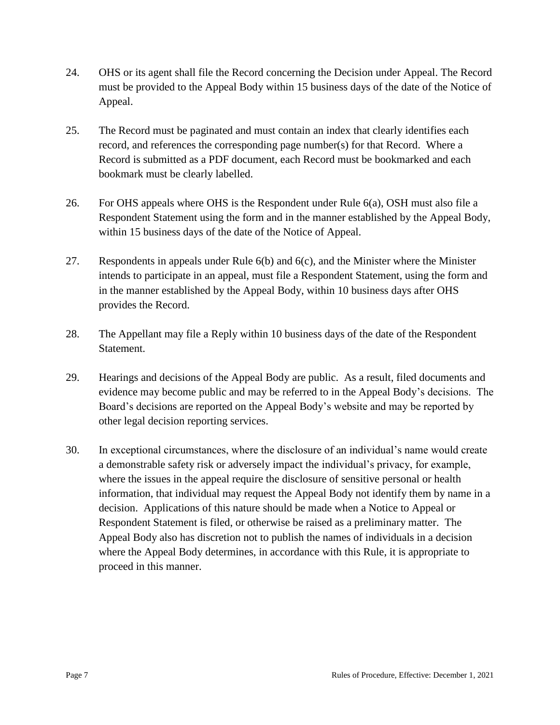- 24. OHS or its agent shall file the Record concerning the Decision under Appeal. The Record must be provided to the Appeal Body within 15 business days of the date of the Notice of Appeal.
- 25. The Record must be paginated and must contain an index that clearly identifies each record, and references the corresponding page number(s) for that Record. Where a Record is submitted as a PDF document, each Record must be bookmarked and each bookmark must be clearly labelled.
- 26. For OHS appeals where OHS is the Respondent under Rule 6(a), OSH must also file a Respondent Statement using the form and in the manner established by the Appeal Body, within 15 business days of the date of the Notice of Appeal.
- 27. Respondents in appeals under Rule 6(b) and 6(c), and the Minister where the Minister intends to participate in an appeal, must file a Respondent Statement, using the form and in the manner established by the Appeal Body, within 10 business days after OHS provides the Record.
- 28. The Appellant may file a Reply within 10 business days of the date of the Respondent Statement.
- 29. Hearings and decisions of the Appeal Body are public. As a result, filed documents and evidence may become public and may be referred to in the Appeal Body's decisions. The Board's decisions are reported on the Appeal Body's website and may be reported by other legal decision reporting services.
- 30. In exceptional circumstances, where the disclosure of an individual's name would create a demonstrable safety risk or adversely impact the individual's privacy, for example, where the issues in the appeal require the disclosure of sensitive personal or health information, that individual may request the Appeal Body not identify them by name in a decision. Applications of this nature should be made when a Notice to Appeal or Respondent Statement is filed, or otherwise be raised as a preliminary matter. The Appeal Body also has discretion not to publish the names of individuals in a decision where the Appeal Body determines, in accordance with this Rule, it is appropriate to proceed in this manner.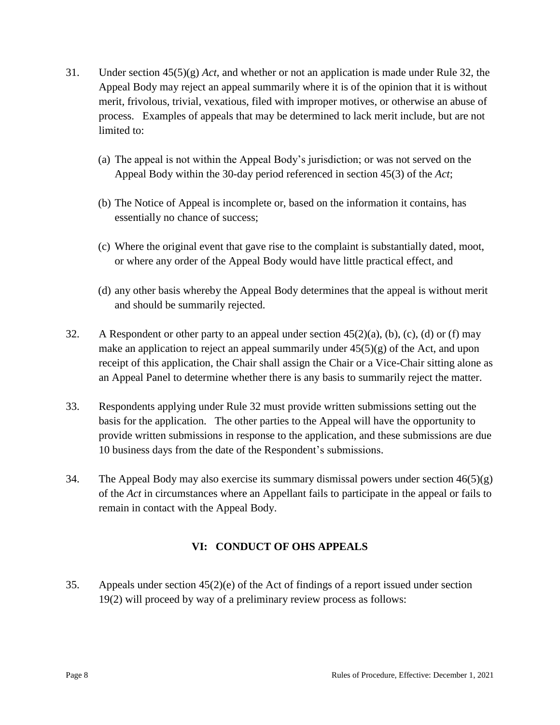- 31. Under section 45(5)(g) *Act*, and whether or not an application is made under Rule 32, the Appeal Body may reject an appeal summarily where it is of the opinion that it is without merit, frivolous, trivial, vexatious, filed with improper motives, or otherwise an abuse of process. Examples of appeals that may be determined to lack merit include, but are not limited to:
	- (a) The appeal is not within the Appeal Body's jurisdiction; or was not served on the Appeal Body within the 30-day period referenced in section 45(3) of the *Act*;
	- (b) The Notice of Appeal is incomplete or, based on the information it contains, has essentially no chance of success;
	- (c) Where the original event that gave rise to the complaint is substantially dated, moot, or where any order of the Appeal Body would have little practical effect, and
	- (d) any other basis whereby the Appeal Body determines that the appeal is without merit and should be summarily rejected.
- 32. A Respondent or other party to an appeal under section  $45(2)(a)$ , (b), (c), (d) or (f) may make an application to reject an appeal summarily under  $45(5)(g)$  of the Act, and upon receipt of this application, the Chair shall assign the Chair or a Vice-Chair sitting alone as an Appeal Panel to determine whether there is any basis to summarily reject the matter.
- 33. Respondents applying under Rule 32 must provide written submissions setting out the basis for the application. The other parties to the Appeal will have the opportunity to provide written submissions in response to the application, and these submissions are due 10 business days from the date of the Respondent's submissions.
- 34. The Appeal Body may also exercise its summary dismissal powers under section  $46(5)(g)$ of the *Act* in circumstances where an Appellant fails to participate in the appeal or fails to remain in contact with the Appeal Body.

# **VI: CONDUCT OF OHS APPEALS**

35. Appeals under section 45(2)(e) of the Act of findings of a report issued under section 19(2) will proceed by way of a preliminary review process as follows: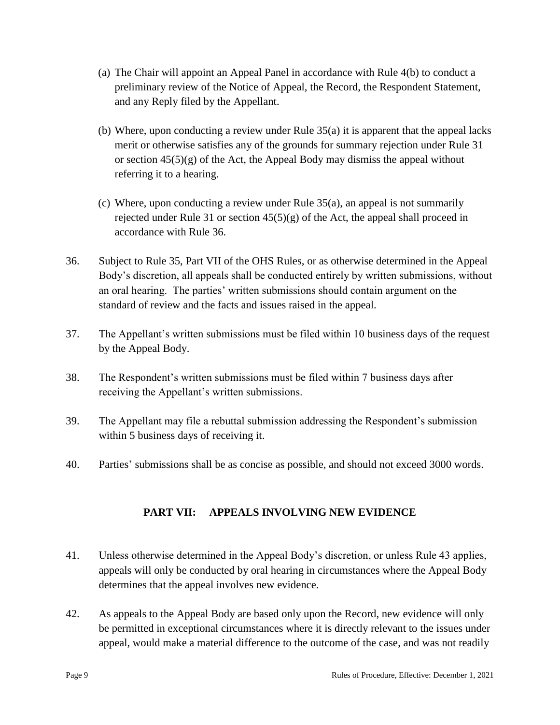- (a) The Chair will appoint an Appeal Panel in accordance with Rule 4(b) to conduct a preliminary review of the Notice of Appeal, the Record, the Respondent Statement, and any Reply filed by the Appellant.
- (b) Where, upon conducting a review under Rule 35(a) it is apparent that the appeal lacks merit or otherwise satisfies any of the grounds for summary rejection under Rule 31 or section  $45(5)(g)$  of the Act, the Appeal Body may dismiss the appeal without referring it to a hearing.
- (c) Where, upon conducting a review under Rule 35(a), an appeal is not summarily rejected under Rule 31 or section  $45(5)(g)$  of the Act, the appeal shall proceed in accordance with Rule 36.
- 36. Subject to Rule 35, Part VII of the OHS Rules, or as otherwise determined in the Appeal Body's discretion, all appeals shall be conducted entirely by written submissions, without an oral hearing. The parties' written submissions should contain argument on the standard of review and the facts and issues raised in the appeal.
- 37. The Appellant's written submissions must be filed within 10 business days of the request by the Appeal Body.
- 38. The Respondent's written submissions must be filed within 7 business days after receiving the Appellant's written submissions.
- 39. The Appellant may file a rebuttal submission addressing the Respondent's submission within 5 business days of receiving it.
- 40. Parties' submissions shall be as concise as possible, and should not exceed 3000 words.

# **PART VII: APPEALS INVOLVING NEW EVIDENCE**

- 41. Unless otherwise determined in the Appeal Body's discretion, or unless Rule 43 applies, appeals will only be conducted by oral hearing in circumstances where the Appeal Body determines that the appeal involves new evidence.
- 42. As appeals to the Appeal Body are based only upon the Record, new evidence will only be permitted in exceptional circumstances where it is directly relevant to the issues under appeal, would make a material difference to the outcome of the case, and was not readily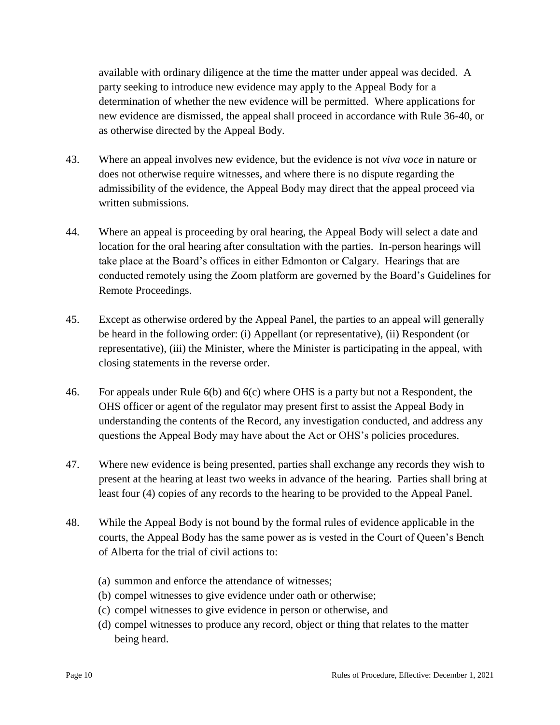available with ordinary diligence at the time the matter under appeal was decided. A party seeking to introduce new evidence may apply to the Appeal Body for a determination of whether the new evidence will be permitted. Where applications for new evidence are dismissed, the appeal shall proceed in accordance with Rule 36-40, or as otherwise directed by the Appeal Body.

- 43. Where an appeal involves new evidence, but the evidence is not *viva voce* in nature or does not otherwise require witnesses, and where there is no dispute regarding the admissibility of the evidence, the Appeal Body may direct that the appeal proceed via written submissions.
- 44. Where an appeal is proceeding by oral hearing, the Appeal Body will select a date and location for the oral hearing after consultation with the parties. In-person hearings will take place at the Board's offices in either Edmonton or Calgary. Hearings that are conducted remotely using the Zoom platform are governed by the Board's Guidelines for Remote Proceedings.
- 45. Except as otherwise ordered by the Appeal Panel, the parties to an appeal will generally be heard in the following order: (i) Appellant (or representative), (ii) Respondent (or representative), (iii) the Minister, where the Minister is participating in the appeal, with closing statements in the reverse order.
- 46. For appeals under Rule 6(b) and 6(c) where OHS is a party but not a Respondent, the OHS officer or agent of the regulator may present first to assist the Appeal Body in understanding the contents of the Record, any investigation conducted, and address any questions the Appeal Body may have about the Act or OHS's policies procedures.
- 47. Where new evidence is being presented, parties shall exchange any records they wish to present at the hearing at least two weeks in advance of the hearing. Parties shall bring at least four (4) copies of any records to the hearing to be provided to the Appeal Panel.
- 48. While the Appeal Body is not bound by the formal rules of evidence applicable in the courts, the Appeal Body has the same power as is vested in the Court of Queen's Bench of Alberta for the trial of civil actions to:
	- (a) summon and enforce the attendance of witnesses;
	- (b) compel witnesses to give evidence under oath or otherwise;
	- (c) compel witnesses to give evidence in person or otherwise, and
	- (d) compel witnesses to produce any record, object or thing that relates to the matter being heard.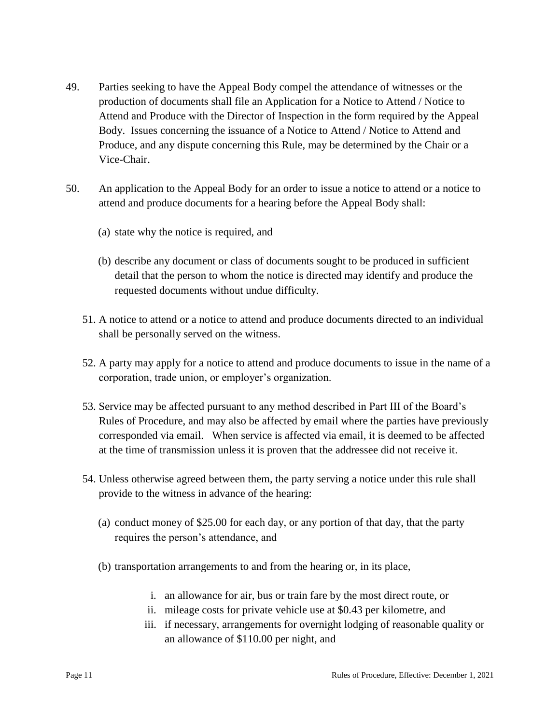- 49. Parties seeking to have the Appeal Body compel the attendance of witnesses or the production of documents shall file an Application for a Notice to Attend / Notice to Attend and Produce with the Director of Inspection in the form required by the Appeal Body. Issues concerning the issuance of a Notice to Attend / Notice to Attend and Produce, and any dispute concerning this Rule, may be determined by the Chair or a Vice-Chair.
- 50. An application to the Appeal Body for an order to issue a notice to attend or a notice to attend and produce documents for a hearing before the Appeal Body shall:
	- (a) state why the notice is required, and
	- (b) describe any document or class of documents sought to be produced in sufficient detail that the person to whom the notice is directed may identify and produce the requested documents without undue difficulty.
	- 51. A notice to attend or a notice to attend and produce documents directed to an individual shall be personally served on the witness.
	- 52. A party may apply for a notice to attend and produce documents to issue in the name of a corporation, trade union, or employer's organization.
	- 53. Service may be affected pursuant to any method described in Part III of the Board's Rules of Procedure, and may also be affected by email where the parties have previously corresponded via email. When service is affected via email, it is deemed to be affected at the time of transmission unless it is proven that the addressee did not receive it.
	- 54. Unless otherwise agreed between them, the party serving a notice under this rule shall provide to the witness in advance of the hearing:
		- (a) conduct money of \$25.00 for each day, or any portion of that day, that the party requires the person's attendance, and
		- (b) transportation arrangements to and from the hearing or, in its place,
			- i. an allowance for air, bus or train fare by the most direct route, or
			- ii. mileage costs for private vehicle use at \$0.43 per kilometre, and
			- iii. if necessary, arrangements for overnight lodging of reasonable quality or an allowance of \$110.00 per night, and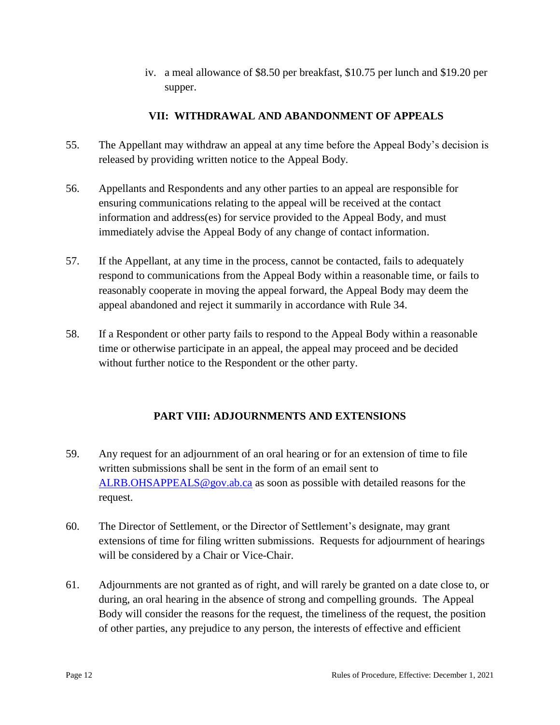iv. a meal allowance of \$8.50 per breakfast, \$10.75 per lunch and \$19.20 per supper.

## **VII: WITHDRAWAL AND ABANDONMENT OF APPEALS**

- 55. The Appellant may withdraw an appeal at any time before the Appeal Body's decision is released by providing written notice to the Appeal Body.
- 56. Appellants and Respondents and any other parties to an appeal are responsible for ensuring communications relating to the appeal will be received at the contact information and address(es) for service provided to the Appeal Body, and must immediately advise the Appeal Body of any change of contact information.
- 57. If the Appellant, at any time in the process, cannot be contacted, fails to adequately respond to communications from the Appeal Body within a reasonable time, or fails to reasonably cooperate in moving the appeal forward, the Appeal Body may deem the appeal abandoned and reject it summarily in accordance with Rule 34.
- 58. If a Respondent or other party fails to respond to the Appeal Body within a reasonable time or otherwise participate in an appeal, the appeal may proceed and be decided without further notice to the Respondent or the other party.

# **PART VIII: ADJOURNMENTS AND EXTENSIONS**

- 59. Any request for an adjournment of an oral hearing or for an extension of time to file written submissions shall be sent in the form of an email sent to [ALRB.OHSAPPEALS@gov.ab.ca](mailto:ALRB.OHSAPPEALS@gov.ab.ca) as soon as possible with detailed reasons for the request.
- 60. The Director of Settlement, or the Director of Settlement's designate, may grant extensions of time for filing written submissions. Requests for adjournment of hearings will be considered by a Chair or Vice-Chair.
- 61. Adjournments are not granted as of right, and will rarely be granted on a date close to, or during, an oral hearing in the absence of strong and compelling grounds. The Appeal Body will consider the reasons for the request, the timeliness of the request, the position of other parties, any prejudice to any person, the interests of effective and efficient